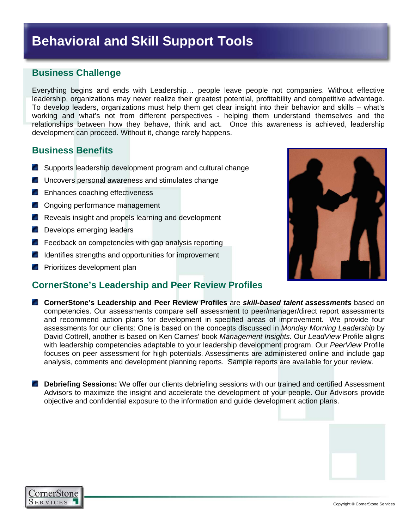# **Behavioral and Skill Support Tools**

# **Business Challenge**

Everything begins and ends with Leadership… people leave people not companies. Without effective leadership, organizations may never realize their greatest potential, profitability and competitive advantage. To develop leaders, organizations must help them get clear insight into their behavior and skills – what's working and what's not from different perspectives - helping them understand themselves and the relationships between how they behave, think and act. Once this awareness is achieved, leadership development can proceed. Without it, change rarely happens.

## **Business Benefits**

- **Supports leadership development program and cultural change**
- **Uncovers personal awareness and stimulates change**
- **Enhances coaching effectiveness**
- **C** Ongoing performance management
- **Reveals insight and propels learning and development**
- **Develops emerging leaders**
- **F** Feedback on competencies with gap analysis reporting
- I Identifies strengths and opportunities for improvement
- **Prioritizes development plan**

## **CornerStone's Leadership and Peer Review Profiles**

- **CornerStone's Leadership and Peer Review Profiles** are *skill-based talent assessments* based on competencies. Our assessments compare self assessment to peer/manager/direct report assessments and recommend action plans for development in specified areas of improvement. We provide four assessments for our clients: One is based on the concepts discussed in *Monday Morning Leadership* by David Cottrell, another is based on Ken Carnes' book *Management Insights.* Our *LeadView* Profile aligns with leadership competencies adaptable to your leadership development program. Our *PeerView* Profile focuses on peer assessment for high potentials. Assessments are administered online and include gap analysis, comments and development planning reports. Sample reports are available for your review.
- **Debriefing Sessions:** We offer our clients debriefing sessions with our trained and certified Assessment Advisors to maximize the insight and accelerate the development of your people. Our Advisors provide objective and confidential exposure to the information and guide development action plans.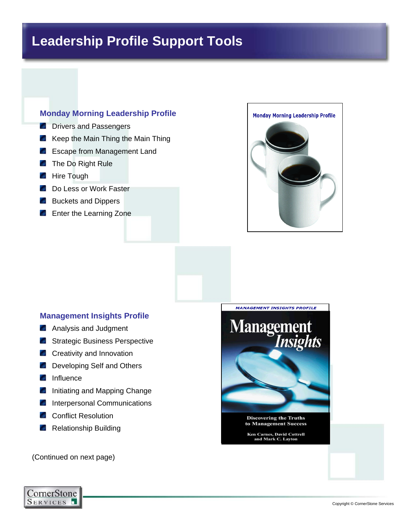# **Leadership Profile Support Tools**

### **Monday Morning Leadership Profile**

- **Drivers and Passengers**
- $\blacksquare$  Keep the Main Thing the Main Thing
- Escape from Management Land
- **The Do Right Rule**
- **Hire Tough**
- **Do Less or Work Faster**
- **Buckets and Dippers**
- **Enter the Learning Zone**



#### **Management Insights Profile**

- **Analysis and Judgment**
- **Strategic Business Perspective**
- **C** Creativity and Innovation
- **Developing Self and Others**
- **Influence**
- **Initiating and Mapping Change**
- **Interpersonal Communications**
- **Conflict Resolution**
- Relationship Building

(Continued on next page)





**Ken Carnes, David Cottrell<br>and Mark C. Layton**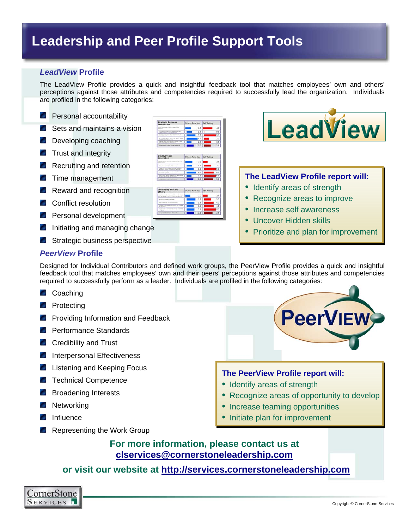# **Leadership and Peer Profile Support Tools**

#### *LeadView* **Profile**

The LeadView Profile provides a quick and insightful feedback tool that matches employees' own and others' perceptions against those attributes and competencies required to successfully lead the organization. Individuals are profiled in the following categories:

- **Personal accountability**
- Sets and maintains a vision
- **Developing coaching**
- **Trust and integrity**
- Recruiting and retention
- **Time management**
- Reward and recognition
- **Conflict resolution**
- **Personal development**
- **Initiating and managing change**
- **Strategic business perspective**

#### *PeerView* **Profile**

Designed for Individual Contributors and defined work groups, the PeerView Profile provides a quick and insightful feedback tool that matches employees' own and their peers' perceptions against those attributes and competencies required to successfully perform as a leader. Individuals are profiled in the following categories:

- **Coaching**
- **Protecting**
- **Providing Information and Feedback**
- **Performance Standards**
- **Credibility and Trust**
- **Interpersonal Effectiveness**
- **Listening and Keeping Focus**
- **Technical Competence**
- **Broadening Interests**
- **Networking**
- **Influence**
- **Representing the Work Group**







#### **The LeadView Profile report will:**

- Identify areas of strength
- Recognize areas to improve
- Increase self awareness
- Uncover Hidden skills
- Prioritize and plan for improvement



#### **The PeerView Profile report will:**

- Identify areas of strength
- Recognize areas of opportunity to develop
- Increase teaming opportunities
- Initiate plan for improvement

# **For more information, please contact us at clservices@cornerstoneleadership.com**

### **or visit our website at http://services.cornerstoneleadership.com**

CornerStone SERVICES 1